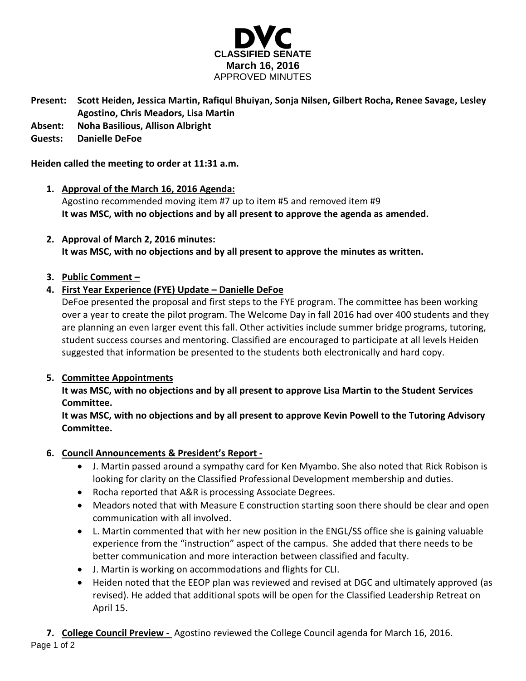

- **Present: Scott Heiden, Jessica Martin, Rafiqul Bhuiyan, Sonja Nilsen, Gilbert Rocha, Renee Savage, Lesley Agostino, Chris Meadors, Lisa Martin**
- **Absent: Noha Basilious, Allison Albright**

# **Guests: Danielle DeFoe**

## **Heiden called the meeting to order at 11:31 a.m.**

- **1. Approval of the March 16, 2016 Agenda:** Agostino recommended moving item #7 up to item #5 and removed item #9 **It was MSC, with no objections and by all present to approve the agenda as amended.**
- **2. Approval of March 2, 2016 minutes: It was MSC, with no objections and by all present to approve the minutes as written.**

# **3. Public Comment –**

# **4. First Year Experience (FYE) Update – Danielle DeFoe**

DeFoe presented the proposal and first steps to the FYE program. The committee has been working over a year to create the pilot program. The Welcome Day in fall 2016 had over 400 students and they are planning an even larger event this fall. Other activities include summer bridge programs, tutoring, student success courses and mentoring. Classified are encouraged to participate at all levels Heiden suggested that information be presented to the students both electronically and hard copy.

# **5. Committee Appointments**

**It was MSC, with no objections and by all present to approve Lisa Martin to the Student Services Committee.**

**It was MSC, with no objections and by all present to approve Kevin Powell to the Tutoring Advisory Committee.**

# **6. Council Announcements & President's Report -**

- J. Martin passed around a sympathy card for Ken Myambo. She also noted that Rick Robison is looking for clarity on the Classified Professional Development membership and duties.
- Rocha reported that A&R is processing Associate Degrees.
- Meadors noted that with Measure E construction starting soon there should be clear and open communication with all involved.
- L. Martin commented that with her new position in the ENGL/SS office she is gaining valuable experience from the "instruction" aspect of the campus. She added that there needs to be better communication and more interaction between classified and faculty.
- J. Martin is working on accommodations and flights for CLI.
- Heiden noted that the EEOP plan was reviewed and revised at DGC and ultimately approved (as revised). He added that additional spots will be open for the Classified Leadership Retreat on April 15.

Page 1 of 2 **7. College Council Preview -** Agostino reviewed the College Council agenda for March 16, 2016.